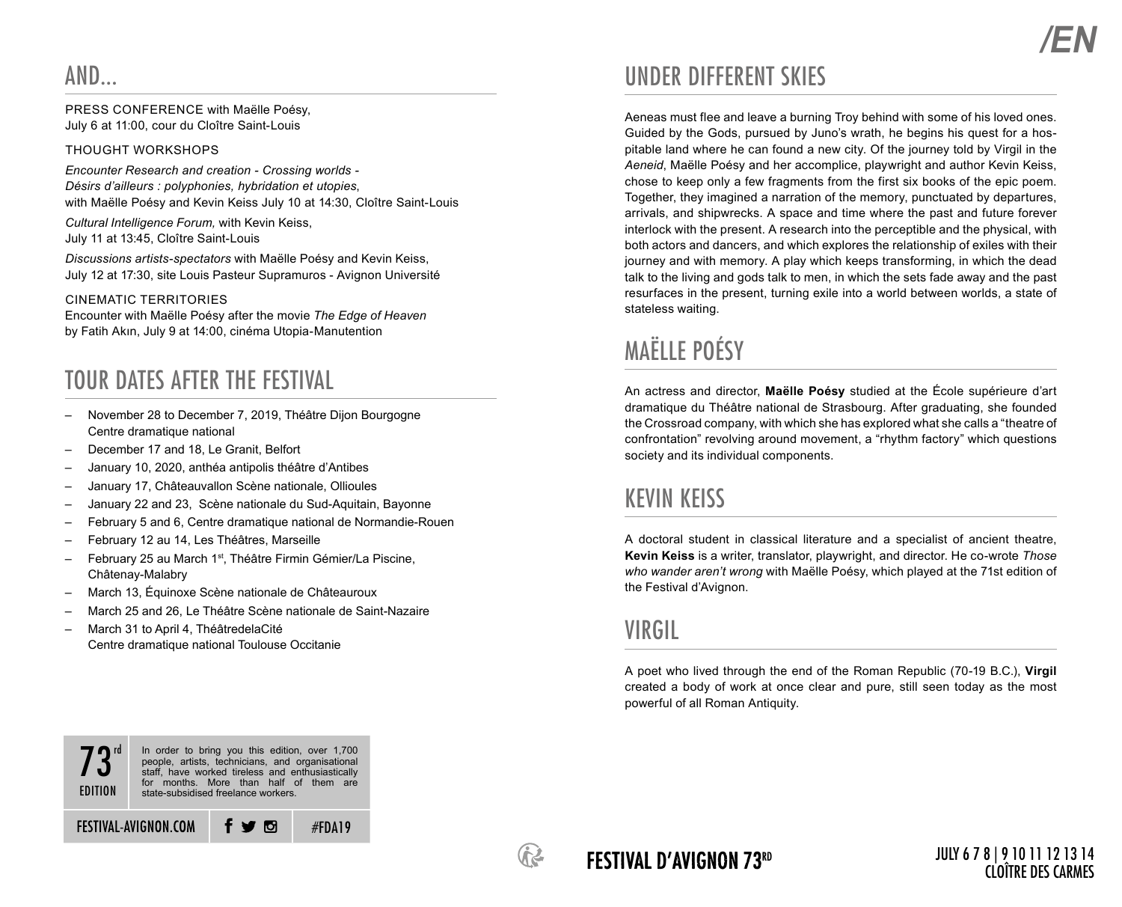PRESS CONFERENCE with Maëlle Poésy, July 6 at 11:00, cour du Cloître Saint-Louis

### THOUGHT WORKSHOPS

*Encounter Research and creation - Crossing worlds - Désirs d'ailleurs : polyphonies, hybridation et utopies*, with Maëlle Poésy and Kevin Keiss July 10 at 14:30, Cloître Saint-Louis

*Cultural Intelligence Forum,* with Kevin Keiss, July 11 at 13:45, Cloître Saint-Louis

*Discussions artists-spectators* with Maëlle Poésy and Kevin Keiss, July 12 at 17:30, site Louis Pasteur Supramuros - Avignon Université

### CINEMATIC TERRITORIES

Encounter with Maëlle Poésy after the movie *The Edge of Heaven* by Fatih Akın, July 9 at 14:00, cinéma Utopia-Manutention

## TOUR DATES AFTER THE FESTIVAL

- November 28 to December 7, 2019, Théâtre Dijon Bourgogne Centre dramatique national
- December 17 and 18, Le Granit, Belfort
- January 10, 2020, anthéa antipolis théâtre d'Antibes
- January 17, Châteauvallon Scène nationale, Ollioules
- January 22 and 23, Scène nationale du Sud-Aquitain, Bayonne
- February 5 and 6, Centre dramatique national de Normandie-Rouen
- February 12 au 14, Les Théâtres, Marseille
- February 25 au March 1<sup>st</sup>, Théâtre Firmin Gémier/La Piscine, Châtenay-Malabry
- March 13, Équinoxe Scène nationale de Châteauroux
- March 25 and 26, Le Théâtre Scène nationale de Saint-Nazaire
- March 31 to April 4, ThéâtredelaCité Centre dramatique national Toulouse Occitanie

### UNDER DIFFERENT SKIES

Aeneas must flee and leave a burning Troy behind with some of his loved ones. Guided by the Gods, pursued by Juno's wrath, he begins his quest for a hospitable land where he can found a new city. Of the journey told by Virgil in the *Aeneid*, Maëlle Poésy and her accomplice, playwright and author Kevin Keiss, chose to keep only a few fragments from the first six books of the epic poem. Together, they imagined a narration of the memory, punctuated by departures, arrivals, and shipwrecks. A space and time where the past and future forever interlock with the present. A research into the perceptible and the physical, with both actors and dancers, and which explores the relationship of exiles with their journey and with memory. A play which keeps transforming, in which the dead talk to the living and gods talk to men, in which the sets fade away and the past resurfaces in the present, turning exile into a world between worlds, a state of stateless waiting.

# MAËLLE POÉSY

An actress and director, **Maëlle Poésy** studied at the École supérieure d'art dramatique du Théâtre national de Strasbourg. After graduating, she founded the Crossroad company, with which she has explored what she calls a "theatre of confrontation" revolving around movement, a "rhythm factory" which questions society and its individual components.

### KEVIN KEISS

A doctoral student in classical literature and a specialist of ancient theatre, **Kevin Keiss** is a writer, translator, playwright, and director. He co-wrote *Those who wander aren't wrong* with Maëlle Poésy, which played at the 71st edition of the Festival d'Avignon.

### VIRGIL

A poet who lived through the end of the Roman Republic (70-19 B.C.), **Virgil** created a body of work at once clear and pure, still seen today as the most powerful of all Roman Antiquity.





### FESTIVAL D'AVIGNON 73rd

### JULY 6 7 8 | 9 10 11 12 13 14 CLOÎTRE DES CARMES

*/EN*